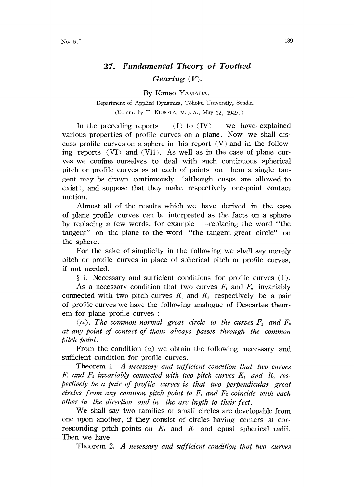## 27. Fundamental Theory of Toothed Gearing  $(V)$ .

By Kaneo YAMADA.

Department of Applied Dynamics, Tôhoku University, Sendai. (Comm. by T. KUBOTA, M. J. A., May 12, 1949.)

In the preceding reports  $-(-1)$  to  $(IV)$ ---we have. explained various properties of profile curves on a plane. Now we shall discuss profile curves on a sphere in this report  $(V)$  and in the following reports (VI) and (VII). As well as in the case of plane curves we confine ourselves to deal with such continuous spherical pitch or profile curves as at each of points on them a single tangent may be drawn continuously (although cusps are allowed to exist), and suppose that they make respectively one-point contact motion.

Almost all of the results which we have derived in the case of plane profile curves can be interpreted as the facts on a sphere by replacing a few words, for example—replacing the word "the tangent" on the plane to the word "the tangent great circle" on the sphere.

For the sake of simplicity in the following we shall say merely pitch or profile curves in place of spherical pitch or profile curves, if not needed.

 $\S$  i. Necessary and sufficient conditions for profile curves  $(1)$ .

As a necessary condition that two curves  $F_1$  and  $F_2$  invariably connected with two pitch curves  $K_i$  and  $K_i$  respectively be a pair of profile curves we have the following analogue of Descartes theorem for plane profile curves

 $(\alpha)$ . The common normal great circle to the curves  $F_1$  and  $F_2$ at any point of contact of them always passes through the common pitch point.

From the condition  $(a)$  we obtain the following necessary and sufficient condition for profile curves.

Theorem 1. A necessary and sufficient condition that two curves  $F_1$  and  $F_2$  invariably connected with two pitch curves  $K_1$  and  $K_2$  respectively be a pair of profile curves is that two perpendicular greal cireles from any common pitch point to  $F_1$  and  $F_2$  coincide with each other in the direction and in the arc lngth to their feet.

We shall say two families of small circles are developable from one upon another, if they consist of circles having centers at corresponding pitch points on  $K_1$  and  $K_2$  and epual spherical radii. Then we have

Theorem 2. A necessary and sufficient condition that two curves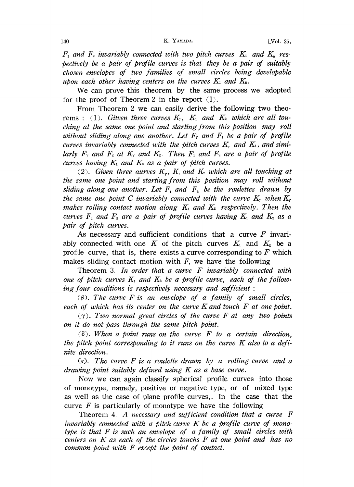$F_1$  and  $F_2$  invariably connected with two pitch curves  $K_1$  and  $K_2$  respectively be a pair of profile curves is that they be a pair of suitably chosen envelopes of two families of small circles being developable upon each other having centers on the curves  $K_1$  and  $K_2$ .

We can prove this theorem by the same process we adopted for the proof of Theorem 2 in the report (I).

From. Theorem 2 we can easily derive the following two theorems : (1). Given three curves  $K_7$ ,  $K_1$  and  $K_2$  which are all touching' at the same one point and starting from this position may roll without sliding along one another. Let  $F<sub>r</sub>$  and  $F<sub>1</sub>$  be a pair of profile curves invariably connected with the pitch curves  $K_r$  and  $K_t$ , and similarly  $F_r$  and  $F_s$  at  $K_r$  and  $K_s$ . Then  $F_1$  and  $F_s$  are a pair of profile curves having  $K_1$  and  $K_2$  as a pair of pitch curves.

(2). Given three aurves  $K_r$ ,  $K_t$  and  $K_t$  which are all touching at the same one point and starting' from this position may roll without sliding along one another. Let  $F_1$  and  $F_2$  be the roulettes drawn by the same one point C invariably connected with the curve  $K_r$  when  $K_r$ makes rolling contact motion along  $K_1$  and  $K_2$  respectively. Then the curves  $F_1$  and  $F_2$  are a pair of profile curves having  $K_1$  and  $K_2$  as a pair of pitch curves.

As necessary and sufficient conditions that a curve  $F$  invariably connected with one K of the pitch curves  $K_1$  and  $K_2$  be a profile curve, that is, there exists a curve corresponding to  $F$  which makes sliding contact motion with  $F$ , we have the following

Theorem 3. In order that a curve F invariably connected with one of pitch curves  $K_1$  and  $K_2$  be a profile curve, each of the following four conditions is respectively necessary and sufficient:

 $(\beta)$ . The curve F is an envelope of a family of small circles, each of which has its center on the curve K and touch  $F$  at one point.

 $(\gamma)$ . Two normal great circles of the curve F at any two points .on it do not pass through the same pitch point.

 $(\delta)$ . When a point runs on the curve F to a certain direction, the pitch point corresponding to it runs on the curve  $K$  also to a definite direction.

 $(\epsilon)$ . The curve F is a roulette drawn by a rolling curve and a drawing point suitably defined using K as a base curve.

Now we can again classify spherical profile curves into those of monotype, namely, positive or negative type, or of mixed type as well as the case of plane profile curves,. In the case that the curve  $F$  is particularly of monotype we have the following

Theorem 4. A necessary and sufficient condition that a curve F invariably connected with a pitch curve  $K$  be a profile curve of monotype is that  $F$  is such an envelope of a family of small circles with centers on K as each of the circles touchs F at one point and has no common point with  $F$  except the point of contact.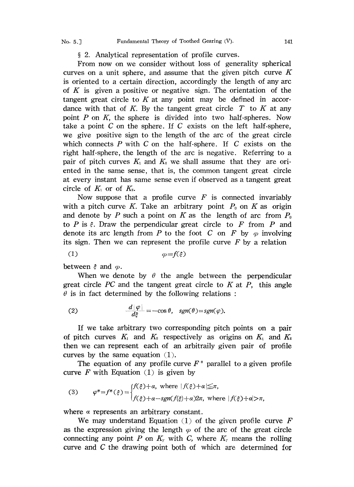## 2. Analytical representation of profile curves.

From now on we consider without loss of generality spherical curves on a unit sphere, and assume that the given pitch curve  $K$ is oriented to a certain direction, accordingly the length of any arc of K is given a positive or negative sign. The orientation of the tangent great circle to  $K$  at any point may be defined in accordance with that of K. By the tangent great circle  $T$  to K at any point  $P$  on  $K$ , the sphere is divided into two half-spheres. Now take a point  $C$  on the sphere. If  $C$  exists on the left half-sphere, we give positive sign to the length of the arc of the great circle which connects  $P$  with  $C$  on the half-sphere. If  $C$  exists on the right half-sphere, the length of the arc is negative. Referring to a pair of pitch curves  $K_1$  and  $K_2$  we shall assume that they are oriented in the same sense, that is, the common tangent great circle at every instant has same sense even if observed as a tangent great circle of  $K_1$  or of  $K_2$ .

Now suppose that a profile curve  $F$  is connected invariably with a pitch curve K. Take an arbitrary point  $P_0$  on K as origin and denote by P such a point on K as the length of arc from  $P_0$ to P is  $\xi$ . Draw the perpendicular great circle to F from P and denote its arc length from P to the foot C on F by  $\varphi$  involving its sign. Then we can represent the profile curve  $F$  by a relation

between  $\epsilon$  and  $\varphi$ .

When we denote by  $\theta$  the angle between the perpendicular great circle  $\overline{PC}$  and the tangent great circle to  $\overline{K}$  at  $\overline{P}$ , this angle  $\theta$  is in fact determined by the following relations :

(2) 
$$
\frac{d|\varphi|}{d\xi} = -\cos\theta, \quad sgn(\theta) = sgn(\varphi).
$$

If we take arbitrary two corresponding pitch points on a pair of pitch curves  $K_1$  and  $K_2$  respectively as origins on  $K_1$  and  $K_2$ then we can represent each of an arbitraily given pair of profile curves by the same equation (1).

The equation of any profile curve  $F^*$  parallel to a given profile curve F with Equation  $(1)$  is given by

(3) 
$$
\varphi^* = f^*(\xi) = \begin{cases} f(\xi) + \alpha, & \text{where } |f(\xi) + \alpha| \leq \pi, \\ f(\xi) + \alpha - sgn(f(\xi) + \alpha)2\pi, & \text{where } |f(\xi) + \alpha| > \pi, \end{cases}
$$

where  $\alpha$  represents an arbitrary constant.

We may understand Equation  $(1)$  of the given profile curve F as the expression giving the length  $\varphi$  of the arc of the great circle connecting any point P on  $K_r$  with C, where  $K_r$  means the rolling curve and C the drawing point both of which are determined for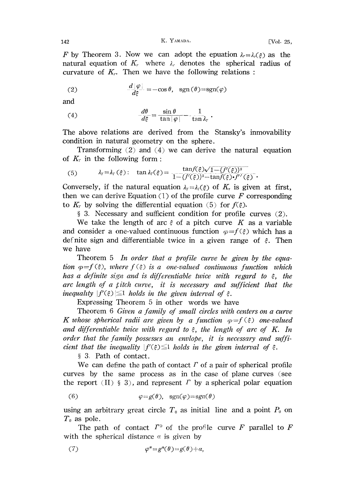F by Theorem 3. Now we can adopt the epuation  $\lambda = \lambda_r(\xi)$  as the natural equation of  $K_r$ , where  $\lambda_r$ , denotes the spherical radius of curvature of  $K_r$ . Then we have the following relations:

(2) 
$$
\frac{d|\varphi|}{d\xi} = -\cos\theta, \text{ sgn}(\theta) = \text{sgn}(\varphi)
$$

and

(4) 
$$
\frac{d\theta}{d\xi} = \frac{\sin \theta}{\tan |\varphi|} - \frac{1}{\tan \lambda_{\tau}}.
$$

The above relations are derived from the Stansky's inmovability condition in natural geometry on the sphere.

Transforming (2) and (4) we can derive the natural equation of  $K<sub>r</sub>$  in the following form:

(5) 
$$
\lambda_{\gamma} = \lambda_{\gamma}(\xi): \quad \tan \lambda_{\gamma}(\xi) = \frac{\tan f(\xi)\sqrt{1 - \{f'(\xi)\}^2}}{1 - \{f'(\xi)\}^2 - \tan f(\xi)\cdot f''(\xi)}.
$$

Conversely, if the natural equation  $\lambda_{\gamma} = \lambda_{\gamma}(\xi)$  of  $K_{\tau}$  is given at first, then we can derive Equation (1) of the profile curve  $F$  corresponding to  $K_r$  by solving the differential equation (5) for  $f(\xi)$ .

3. Necessary and sufficient condition for profile curves (2).

We take the length of arc  $\xi$  of a pitch curve K as a variable and consider a one-valued continuous function  $\varphi = f(\xi)$  which has a definite sign and differentiable twice in a given range of  $\xi$ . Then we have

Theorem  $5$  In order that a profile curve be given by the equation  $\varphi = f(\xi)$ , where  $f(\xi)$  is a one-valued continuous function which has a definite sign and is differentiable twice with regard to  $\xi$ , the arc length of a *titch curve*, it is necessary and sufficient that the inequality  $|f'(\xi)| \leq 1$  holds in the given interval of  $\xi$ .

Expressing Theorem 5 in other words we have

Theorem <sup>6</sup> Given a family of small circles with centers on a curve K whose spherical radii are given by a function  $\varphi = f(\xi)$  one-valued and differentiable twice with regard to  $\xi$ , the length of arc of K. In order that the family possesses an envlope, it is necessary and sufficient that the inequality  $|f'(\xi)| \leq 1$  holds in the given interval of  $\xi$ .

3. Path of contact.

We can define the path of contact  $\Gamma$  of a pair of spherical profile curves by the same process as in the case of plane curves (see the report (II) § 3), and represent  $\Gamma$  by a spherical polar equation

(6) 
$$
\varphi = g(\theta), \text{ sgn}(\varphi) = \text{sgn}(\theta)
$$

using an arbitrary great circle  $T_0$  as initial line and a point  $P_0$  on  $T_0$  as pole.

The path of contact  $\Gamma^*$  of the profile curve F parallel to F with the spherical distance  $\alpha$  is given by

(7) 
$$
\varphi^* = g^*(\theta) = g(\theta) + a,
$$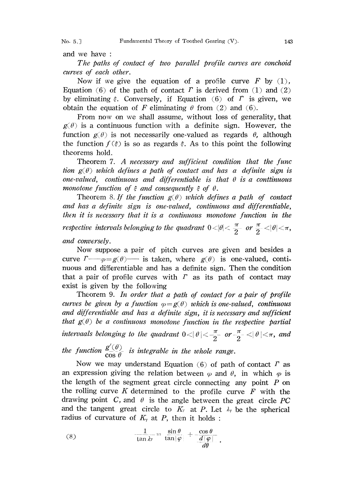No. 5.] Fundamental Theory of Toothed Gearing (V). 143

and we have

The paths of contact of two parallel profile curves are conchoid curves of each other.

Now if we give the equation of a profile curve F by  $(1)$ , Equation (6) of the path of contact  $\Gamma$  is derived from (1) and (2) by eliminating  $\xi$ . Conversely, if Equation (6) of  $\Gamma$  is given, we obtain the equation of F eliminating  $\theta$  from (2) and (6).

From now on we shall assume, without loss of generality, that  $g(\theta)$  is a continuous function with a definite sign. However, the function  $g(\theta)$  is not necessarily one-valued as regards  $\theta$ , although the function  $f(\xi)$  is so as regards  $\xi$ . As to this point the following theorems hold.

Theorem 7. A necessary and sufficient condition that the func tion  $g(\theta)$  which defines a path of contact and has a definite sign is one-valued, continuous and differentiable is that  $\theta$  is a conttinuous monotone function of  $\xi$  and consequently  $\xi$  of  $\theta$ .

Theorem 8. If the function  $g(\theta)$  which defines a path of contact and has a definite sign is one-valued, continuous and differentiable, lhen it is necessary that it is a continuous monotone function in the respective intervals belonging to the quadrant  $0<|\theta|<\frac{\pi}{2}$  or  $\frac{\pi}{2}<|\theta|<\pi$ , and conversely.

Now suppose a pair of pitch curves are given and besides a curve  $\Gamma_{\text{max}}(0)$  is taken, where  $g(\theta)$  is one-valued, continuous and differentiable and has a definite sign. Then the condition that a pair of profile curves with  $\Gamma$  as its path of contact may exist is given by the following

Theorem 9. In order that a path of contact for a pair of profile curves be given by a function  $\varphi = g(\theta)$  which is one-valued, continuous and differentiable and has a definite sign, it is necessary and sufficient that  $g(\theta)$  be a continuous monotone function in the respective partial intervaals belonging to the quadrant  $0 < |\theta| < \frac{\pi}{2}$  or  $-\frac{\pi}{2} < |\theta| < \pi$ , and the function  $\frac{g'(\theta)}{\cos \theta}$  is integrable in the whole range

Now we may understand Equation (6) of path of contact  $\Gamma$  as an expression giving the relation between  $\varphi$  and  $\theta$ , in which  $\varphi$  is the length of the segment great circle connecting any point  $P$  on the rolling curve K determined to the profile curve  $F$  with the drawing point C, and  $\theta$  is the angle between the great circle PC and the tangent great circle to  $K_r$  at P. Let  $\lambda_\gamma$  be the spherical radius of curvature of  $K_{\gamma}$  at P, then it holds:

(8) 
$$
\frac{1}{\tan \lambda \gamma} = \frac{\sin \theta}{\tan |\varphi|} + \frac{\cos \theta}{d|\varphi|}.
$$